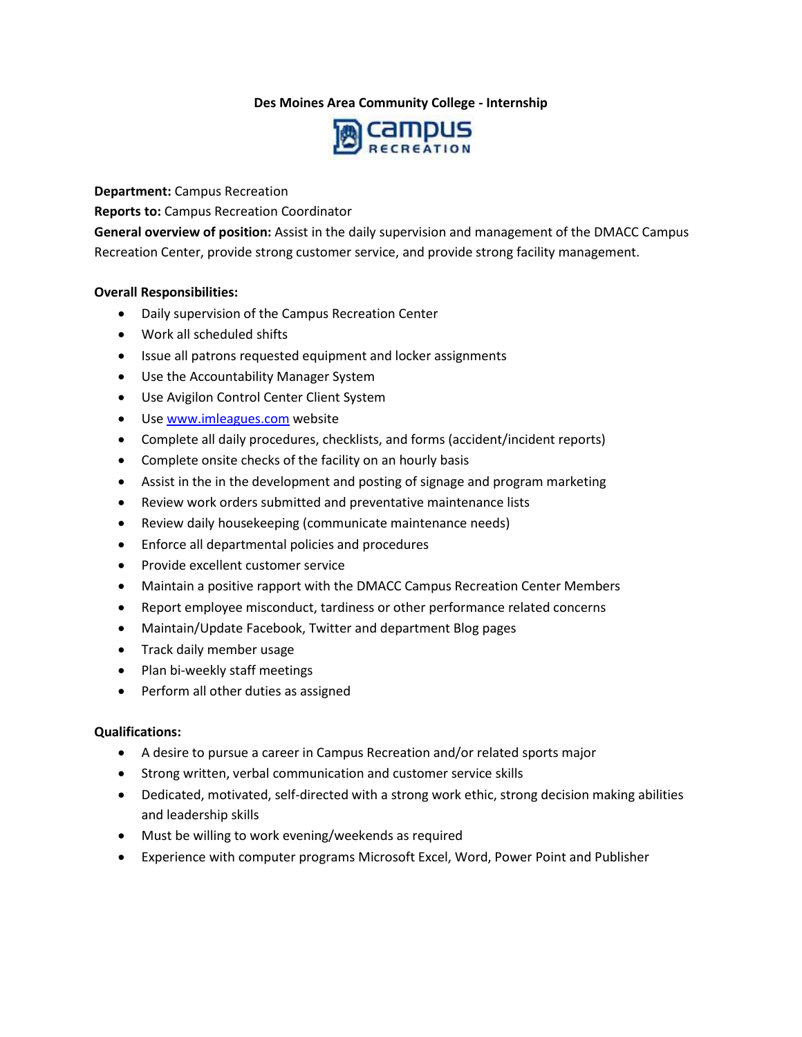# **Des Moines Area Community College - Internship**



**Department:** Campus Recreation

**Reports to:** Campus Recreation Coordinator

**General overview of position:** Assist in the daily supervision and management of the DMACC Campus Recreation Center, provide strong customer service, and provide strong facility management.

### **Overall Responsibilities:**

- Daily supervision of the Campus Recreation Center
- Work all scheduled shifts
- Issue all patrons requested equipment and locker assignments
- Use the Accountability Manager System
- Use Avigilon Control Center Client System
- Use [www.imleagues.com](http://www.imleagues.com/) website
- Complete all daily procedures, checklists, and forms (accident/incident reports)
- Complete onsite checks of the facility on an hourly basis
- Assist in the in the development and posting of signage and program marketing
- Review work orders submitted and preventative maintenance lists
- Review daily housekeeping (communicate maintenance needs)
- Enforce all departmental policies and procedures
- Provide excellent customer service
- Maintain a positive rapport with the DMACC Campus Recreation Center Members
- Report employee misconduct, tardiness or other performance related concerns
- Maintain/Update Facebook, Twitter and department Blog pages
- Track daily member usage
- Plan bi-weekly staff meetings
- Perform all other duties as assigned

## **Qualifications:**

- A desire to pursue a career in Campus Recreation and/or related sports major
- Strong written, verbal communication and customer service skills
- Dedicated, motivated, self-directed with a strong work ethic, strong decision making abilities and leadership skills
- Must be willing to work evening/weekends as required
- Experience with computer programs Microsoft Excel, Word, Power Point and Publisher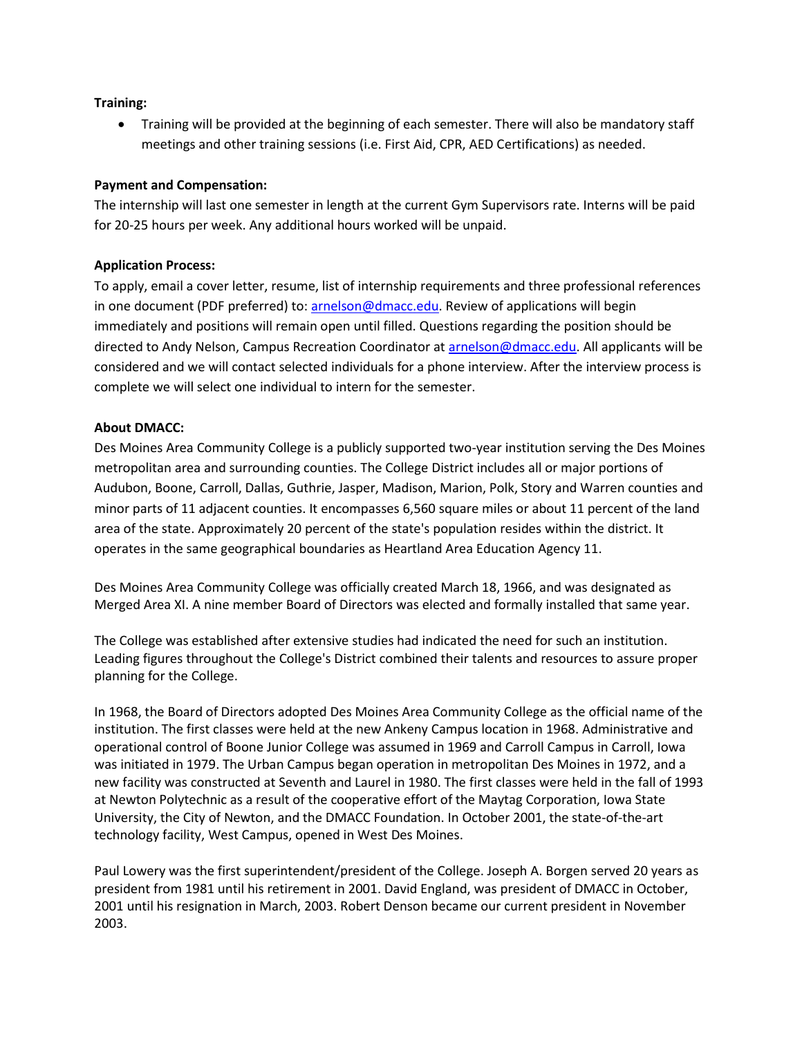## **Training:**

 Training will be provided at the beginning of each semester. There will also be mandatory staff meetings and other training sessions (i.e. First Aid, CPR, AED Certifications) as needed.

## **Payment and Compensation:**

The internship will last one semester in length at the current Gym Supervisors rate. Interns will be paid for 20-25 hours per week. Any additional hours worked will be unpaid.

### **Application Process:**

To apply, email a cover letter, resume, list of internship requirements and three professional references in one document (PDF preferred) to[: arnelson@dmacc.edu.](mailto:arnelson@dmacc.edu) Review of applications will begin immediately and positions will remain open until filled. Questions regarding the position should be directed to Andy Nelson, Campus Recreation Coordinator a[t arnelson@dmacc.edu.](mailto:arnelson@dmacc.edu) All applicants will be considered and we will contact selected individuals for a phone interview. After the interview process is complete we will select one individual to intern for the semester.

### **About DMACC:**

Des Moines Area Community College is a publicly supported two-year institution serving the Des Moines metropolitan area and surrounding counties. The College District includes all or major portions of Audubon, Boone, Carroll, Dallas, Guthrie, Jasper, Madison, Marion, Polk, Story and Warren counties and minor parts of 11 adjacent counties. It encompasses 6,560 square miles or about 11 percent of the land area of the state. Approximately 20 percent of the state's population resides within the district. It operates in the same geographical boundaries as Heartland Area Education Agency 11.

Des Moines Area Community College was officially created March 18, 1966, and was designated as Merged Area XI. A nine member Board of Directors was elected and formally installed that same year.

The College was established after extensive studies had indicated the need for such an institution. Leading figures throughout the College's District combined their talents and resources to assure proper planning for the College.

In 1968, the Board of Directors adopted Des Moines Area Community College as the official name of the institution. The first classes were held at the new Ankeny Campus location in 1968. Administrative and operational control of Boone Junior College was assumed in 1969 and Carroll Campus in Carroll, Iowa was initiated in 1979. The Urban Campus began operation in metropolitan Des Moines in 1972, and a new facility was constructed at Seventh and Laurel in 1980. The first classes were held in the fall of 1993 at Newton Polytechnic as a result of the cooperative effort of the Maytag Corporation, Iowa State University, the City of Newton, and the DMACC Foundation. In October 2001, the state-of-the-art technology facility, West Campus, opened in West Des Moines.

Paul Lowery was the first superintendent/president of the College. Joseph A. Borgen served 20 years as president from 1981 until his retirement in 2001. David England, was president of DMACC in October, 2001 until his resignation in March, 2003. Robert Denson became our current president in November 2003.